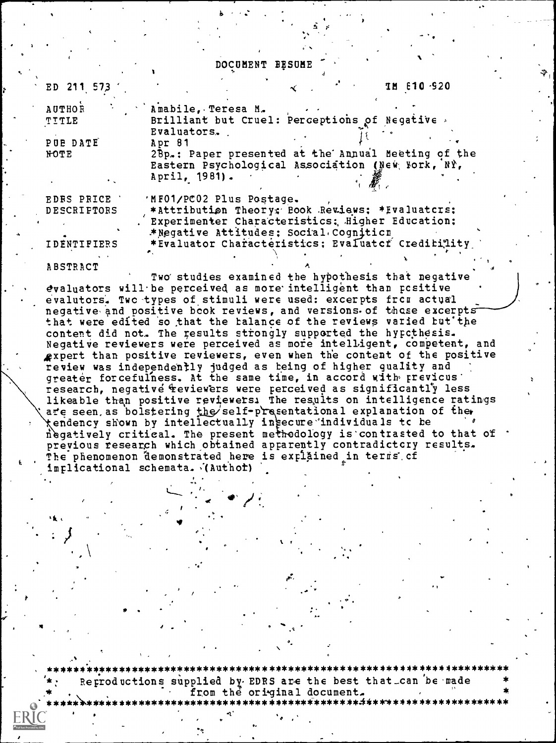#### DOCUMENT BESUME

fy

| ED 211 573         | <b>IM 610 920</b>                                  |
|--------------------|----------------------------------------------------|
| <b>AUTHOR</b>      | Amabile, Teresa M.                                 |
| TITLE              | Brilliant but Cruel: Perceptions of Negative       |
|                    | Evaluators.                                        |
| PUE DATE           | Apr 81                                             |
| <b>NOTE</b>        | 28p.: Paper presented at the Annual Meeting of the |
|                    | Eastern Psychological Association (New York, NY,   |
|                    | April, 1981).                                      |
| <b>EDRS PRICE</b>  | 'MF01/PC02 Plus Postage.                           |
| <b>DESCRIPTORS</b> | *Attribution Theory: Book Reviews: *Evaluatcrs:    |
|                    | Experimenter Characteristics; Higher Education;    |
|                    | *Negative Attitudes; Social Cognition              |
| <b>IDENTIFIERS</b> | *Evaluator Characteristics; Evaluater Creditility  |
|                    |                                                    |

 $\mathcal{I}$ 

ABSTRACT<br>Two studies examined the hypothesis that negative evaluators will be perceived as more intelligent than positive evalutors. Twc-types of stimuli were used: excerpts frcu actual negative and positive book reviews, and versions of those excerpts that were edited so that the balance of the reviews varied but the content did not. The results strongly supported the hypcthesis. Negative reviewers were perceived as more intelligent, competent, and expert than positive reviewers, even when th'e content of the positive . review was independently judged as being of higher quality and greater forcefulness. At the same time, in accord with previcus' research, negative reviewers were perceived as significantly less likeable than positive reviewers. The results on intelligence ratings afe seen, as bolstering the self-presentational explanation of the tendency shown by intellectually in $k$ ecure individuals tc be i gatively critical. The present methodology is'contrasted to that of previous research which obtained apparently contradictory results. The phenomenon demonstrated here is explained in terms of implicational schemata. (Authof)

sir

,

\*\*\*\*\*\*\*\*\*\*\*\*\*\*\*\*\*\*\*\*\*\*\*\*\* supplied by EDRS are the best that can be made from the original document.<br>\*\*\*\*\*\*\*\*\*\*\*\*\*\*\*\*\*\*\*\*\*\*\*\*\*\*\*\*\*\*\* \*\*\*\*\*\*\*\*\*\*\*\*\*\*\*\*\*\*\*\*\*\*\*\*\*\*\*\*\*\*\*\*\*\*\*\*\*\*\*\*\*\*\*\*\*\*\*\*\*\*.\*\*\*\*\*\*\*\*\*\*\*\*\*\*\*\*\*\*\*

 $\sqrt{t}$ 

 $\bullet$  and  $\bullet$  and  $\bullet$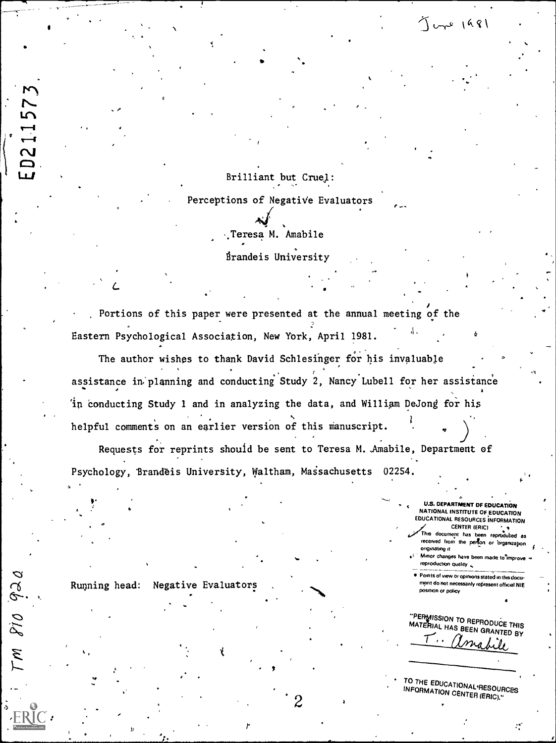Brilliant but Cruel:

Perceptions of Negative Evaluators

Teresa M. Amabile

 $\overline{a}$ 

**Brandeis University** 

Portions of this paper were presented at the annual meeting of the Eastern Psychological Association, New York, April 1981. ,1. <sup>6</sup>

The author wishes to thank David Schlesinger for his invaluable assistance in planning and conducting Study 2, Nancy Lubell for her assistance 'in conducting Study 1 and in analyzing the data, and William DeJong for his helpful comments on an earlier version of this manuscript. 1.

Requests for reprints should be sent to Teresa M. Amabile, Department of Psychology, Brandeis University, Waltham, Massachusetts 02254.

 $2 \rightarrow$ 

U.S. DEPARTMENT OF EDUCATION NATIONAL INSTITUTE OF EDUCATION EDUCATIONAL RESOURCES INFORMATION <sup>I</sup> CENTER (ERIC)

 $J$  une  $1981$ 

sG

This document has been reproduced as received from the person or organization originating it

Minor changes have been made to improve reproduction quality  $\sim$ 

Points of view or opinions stated in this document do not necessarily represent official NIE position or policy

"PERMISSION TO REPRODUCE THIS MATERIAL HAS BEEN GRANTED BY

 $\mathcal{C}^{\prime}$ 

TO THE EDUCATIONAL RESOURCES<br>INFORMATION ON THE SOURCES INFORMATION CENTER (ERIC)."

Running head: Negative Evaluators

I

 $PIO$   $920$ 

 $\mathcal{U}$ 

a.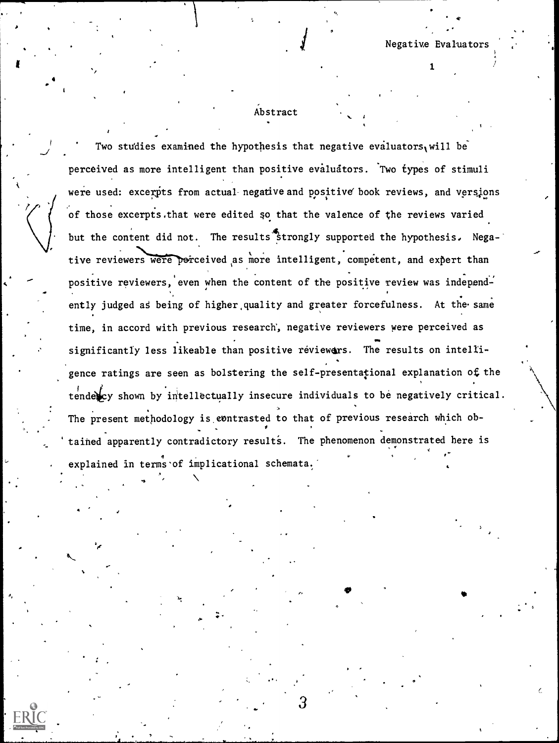$\mathbf{1}$ 

 $\bullet$  $\mathcal{L}^{\text{max}}_{\text{max}}$ 

### Abstract

Two studies examined the hypothesis that negative evaluators, will be perceived as more intelligent than positive evaluators. Two types of stimuli were used: excerpts from actual negative and positive book reviews, and versions of those excerpts.that were edited so that the valence of the reviews varied but the content did not. The results strongly supported the hypothesis. Negative reviewers were perceived as more intelligent, competent, and expert than positive reviewers, even when the content of the positive review was independently judged as being of higher quality and greater forcefulness. At the same time, in accord with previous research', negative reviewers were perceived as significantly less likeable than positive réviewers. The results on intelligence ratings are seen as bolstering the self-presentational explanation of the tendex shown by intellectually insecure individuals to be negatively critical. The present methodology is contrasted to that of previous research which obtained apparently contradictory results. The phenomenon demonstrated here is explained in terms of implicational schemata.

.11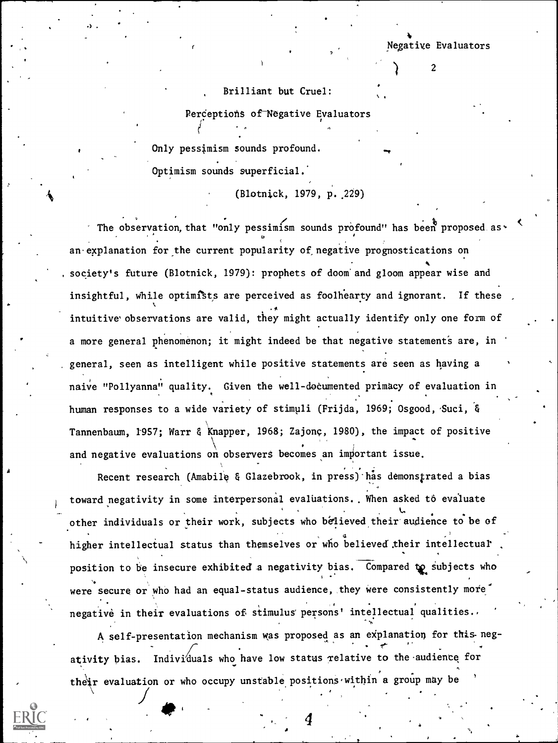Negative Evaluators

2

#### Brilliant but Cruel:

Perceptions of Negative Evaluators

Only pessimism sounds profound. Optimism sounds superficial.'

(Blotnick, 1979, p..229)

The observation, that "only pessimism sounds profound" has been proposed as. an explanation for the current popularity of negative prognostications on society's future (Blotnick, 1979): prophets of doom and gloom appear wise and insightful, while optimists are perceived as foolhearty and ignorant. If these f intuitive' observations are valid, they might actually identify only one form of a more general phenomenon; it might indeed be that negative statements are, in general, seen as intelligent while positive statements are seen as having a naive "Pollyanna" quality. Given the well-documented primacy of evaluation in human responses to a wide variety of stimuli (Frijda, 1969; Osgood, Suci, & Tannenbaum, 1957; Warr & Knapper, 1968; Zajonç, 1980), the impact of positive and negative evaluations on observers becomes an important issue.

Recent research (Amabile & Glazebrook, in press) has demonstrated a bias toward negativity in some interpersonal evaluations.. When asked to evaluate other individuals or their work, subjects who believed their audience to be of higher intellectual status than themselves or who believed their intellectual . position to be insecure exhibited a negativity bias. Compared to subjects who were secure or who had an equal-status audience, they were consistently more negative in their evaluations of stimulus persons' intellectual qualities..

A self-presentation mechanism was proposed as an explanation for this-neg- . ativity bias. Individuals who have low status relative to the audience for their evaluation or who occupy unstable positions within a group may be

4

 $\mathcal{L}$  . The set of  $\mathcal{L}$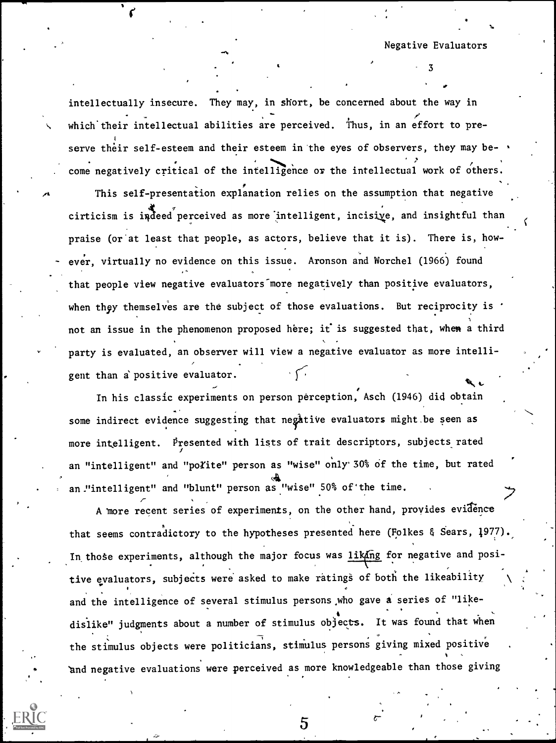$3 \sim 3$ 

intellectually insecure. They may, in short, be concerned about the way in which'their intellectual abilities are perceived. Thus, in an effort to preserve their self-esteem and their esteem in the eyes of observers, they may become negatively critical of the intelligence or the intellectual work of others. This self-presentation explanation relies on the assumption that negative cirticism is indeed perceived as more intelligent, incisive, and insightful than praise (or'at least that people, as actors, believe that it is). There is, how ever, virtually no evidence on this issue. Aronson and Worchel (1966) found that people view negative evaluators more negatively than positive evaluators, when they themselves are the subject of those evaluations. But reciprocity is  $\cdot$ not an issue in the phenomenon proposed here; it is suggested that, when a third party is evaluated, an observer will view a negative evaluator as more intelli-

 $\mathcal{A}$ 

gent than a positive evaluator.

 $\mathcal{L}$  , and the state  $\mathcal{L}$ 

 $\overline{\phantom{a}}$ 

 $\mathbb{Q}$ In his classic experiments on person perception, Asch (1946) did obtain <sub>.</sub> some indirect evidence suggesting that negative evaluators might be seen as more intelligent. Presented with lists of trait descriptors, subjects rated an "intelligent" and "poYite" person as "wise" only 30% of the time, but rated an."intelligent" and "blunt" person as "wise" 50% of'the time.

A more recent series of experiments, on the other hand, provides evidence that seems contradictory to the hypotheses presented here (Folkes & Sears, 1977). In those experiments, although the major focus was liking for negative and positive evaluators, subjects were asked to make ratings of both the likeability and the intelligence of several stimulus persons who gave a series of "like- . dislike" judgments about a number of stimulus objects. It was found that when the stimulus objects were politicians, stimulus persons giving mixed positive . 'and negative evaluations were perceived as more knowledgeable than those giving

5

 $\sigma$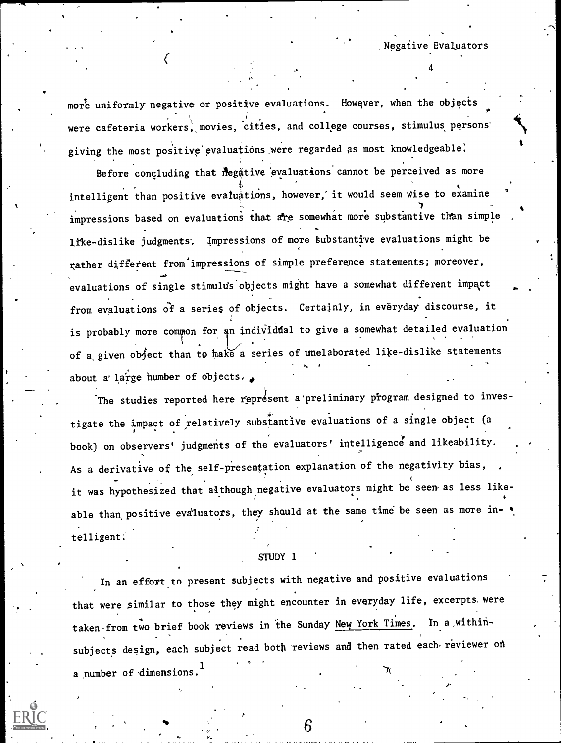more uniformly negative or positive evaluations. However, when the objects 4 were cafeteria workers, movies, cities, and college courses, stimulus persons' giving the most positive evaluations were regarded as most knowledgeable.

,Negative Evaluators

4

 $\mathcal{C}$  and  $\mathcal{C}$ 

Before concluding that negative evaluations cannot be perceived as more intelligent than positive evaluations, however, it would seem wise to examine impressions based on evaluations that are somewhat more substantive than simple , ltke-dislike judgments. Impressions of more tubstantive evaluations might be rather different from impressions of simple preference statements; moreover, evaluations of single stimulds objects might have a somewhat different impact from evaluations of a series of objects. Certainly, in everyday discourse, it is probably more common for an individual to give a somewhat detailed evaluation of a given object than to make a series of unelaborated like-dislike statements about a' large number of objects.

The studies reported here represent a preliminary program designed to investigate the impact of relatively substantive evaluations of a single object (a . book) on observers' judgments of the evaluators' intelligence and likeability. As a derivative of the self-presentation explanation of the negativity bias, it was hypothesized that although negative evaluators might be seen as less likeable than positive evaluators, they should at the same time be seen as more in- $\bullet$ telligent.

#### STUDY 1

In an effort to present subjects with negative and positive evaluations that were similar to those they might encounter in everyday life, excerpts were taken-from two brief book reviews in the Sunday New York Times. In a within-, subjects design, each subject read both reviews and then rated each reviewer on a number of dimensions.<sup>1</sup>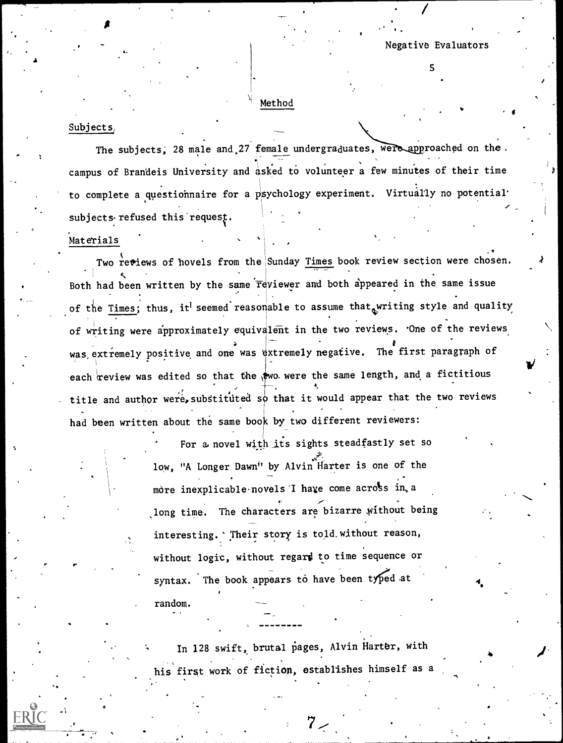$\bullet$  and  $\bullet$ 

#### Method

#### Subjects

 $\mathbf{f}_{\mathbf{r}} = \mathbf{f}_{\mathbf{r}} \mathbf{f}_{\mathbf{r}}$ 

The subjects, 28 male and 27 female undergraduates, were approached on the. . campus of Brandeis University and asked to volunteer a few minutes of their time to complete a questionnaire for a psychology experiment. Virtually no potential. subjects refused this request.

#### Materials

 $P = \frac{P}{P}$ 

a

Two reviews of hovels from the Sunday Times book review section were chosen.  $1$  control  $\mathcal{R}$  control  $\mathcal{R}$ Both had been written by the same  $\overline{r}$ eviewer and both appeared in the same issue of the Times; thus, it<sup>l</sup> seemed reasonable to assume that writing style and quality of writing were approximately equivalent in the two reviews. 'One of the reviews was extremely positive and one was extremely negative. The first paragraph of each review was edited so that the  $\frac{1}{2}$  wo. were the same length, and a fictitious title and author were, substituted so that it would appear that the two reviews had been written about the same book by two different reviewers:

> For a. novel with jts sights steadfastly set so low, "A Longer Dawn" by Alvin Harter is one of the mòre inexplicable novels I have come across in, a long time. The characters are bizarre without being interesting. Their story is told without reason, without logic, without regard to time sequence or syntax. The book appears to have been typed at  $\sim$ . random.

In 128 swift, brutal pages, Alvin Harter, with his first work of fiction, establishes himself as a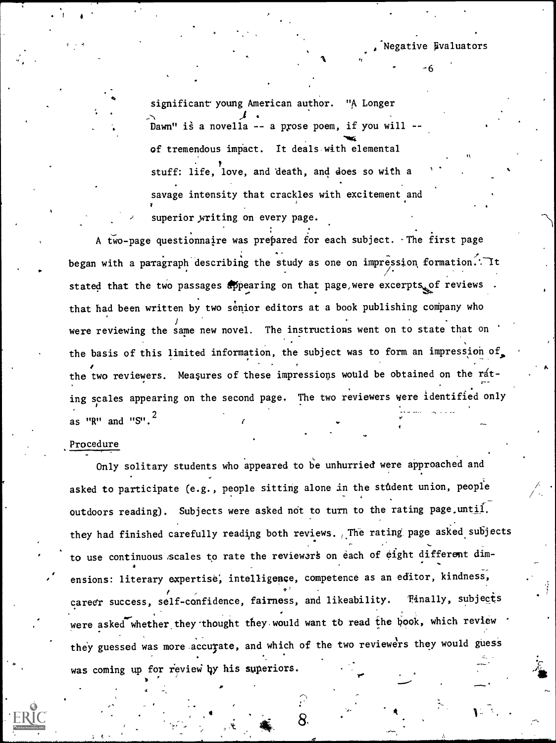Negative Evaluators

6

I.

significant young American author. "A Longer Dawn" is a novella -- a prose poem, if you will -N4 of tremendous impact. It deals with elemental stuff: life, love, and death, and does so with a savage intensity that crackles with excitement and superior writing on every page.

**A** *n* 

A two-page questionnaire was prepared for each subject. The first page began with a paragraph describing the study as one on impression formation. Tt stated that the two passages appearing on that page, were excerpts, of reviews that had been written by two senior editors at a book publishing company who were reviewing the same new novel. The instructions went on to state that on the basis of this limited information, the subject was to form an impression of. the two reviewers. Measures of these impressions would be obtained on the rating scales appearing on the second page. The two reviewers were identified only as "R" and "S". $\overline{a}$ 

#### Procedure

4

Only solitary students who appeared to be unhurried were approached and asked to participate (e.g., people sitting alone in the student union, people outdoors reading). Subjects were asked not to turn to the rating page until. they had finished carefully reading both reviews. The rating page asked subjects to use continuous scales to rate the reviewers on each of eight different dimensions: literary expertise, intelligence, competence as an editor, kindness,  $\ell$  , and the set of  $\sigma^2$  , and the set of  $\sigma^2$ career success, self-confidence, fairness, and likeability. Tinally, subjects were asked whether they thought they would want to read the book, which review they guessed was more accurate, and which of the two reviewers they would guess was coming up for review by his superiors.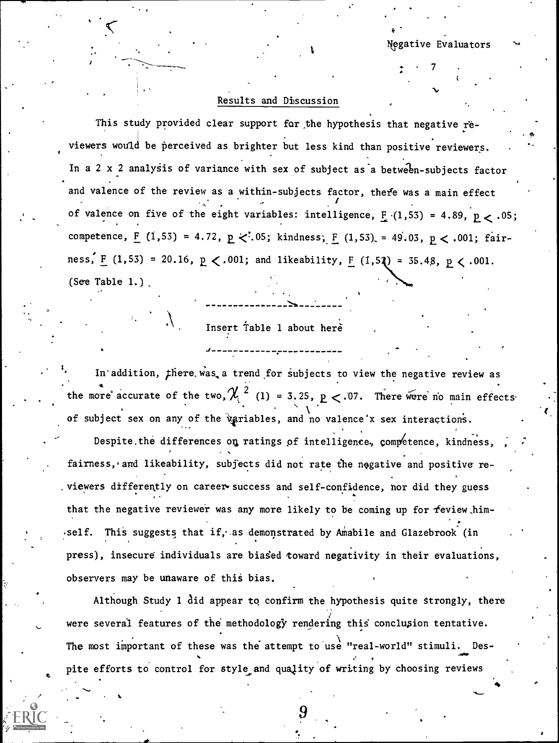$\mathcal{T}$   $\mathcal{T}$   $\mathcal{T}$ 

 $\sim$   $\sim$ 

-

4

#### Results and Discussion

This study provided clear support for the hypothesis that negative reviewers would be perceived as brighter but less kind than positive reviewers. In a 2 x 2 analysis of variance with sex of subject as a between-subjects factor and valence of the review as a within-subjects factor, there was a main effect  $\sim$ of valence on five of the eight variables: intelligence,  $F(1,53) = 4.89$ ,  $p < .05$ ; competence,  $F (1,53) = 4.72$ ,  $p < 0.05$ ; kindness;  $F (1,53) = 49.03$ ,  $p < .001$ ; fairness,  $F (1,53) = 20.16$ ,  $p < .001$ ; and likeability,  $F (1,52) = 35.48$ ,  $p < .001$ . (See Table 1.)

# Insert Table 1 about here

In addition, there was, a trend for subjects to view the negative review as the more accurate of the two,  $\chi$ <sup>2</sup> (1) = 3.25, p < 07. There were no main effects of subject sex on any of the *igriables*, and no valence'x sex interactions.

Despite the differences on ratings of intelligence, competence, kindness, fairness, and likeability, subjects did not rate the negative and positive reviewers differently on career success and self-confidence, nor did they guess that the negative reviewer was any more likely to be coming up for feview himself. This suggests that if, as demonstrated by Amabile and Glazebrook (in  $\qquad \qquad$ press), insecure individuals are biased toward negativity in their evaluations, observers may be unaware of this bias.

Although Study 1 did appear to confirm the hypothesis quite strongly, there were several features of the methodology rendering this conclusion tentative. The most important of these was the attempt to use "real-world" stimuli. Despite efforts to control for style and quality of writing by choosing reviews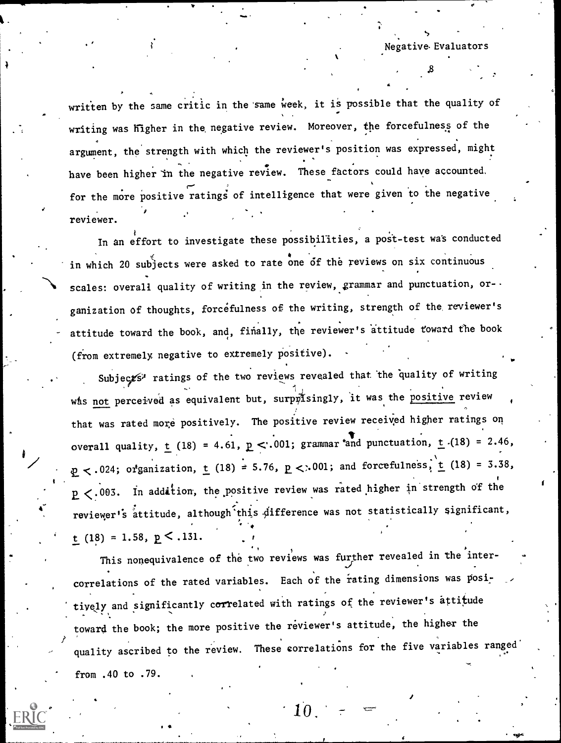Negative- Evaluators

 $\sim$ 

written by the same critic in the same week, it is possible that the quality of writing was higher in the, negative review. Moreover, the forcefulness of the argument, the strength with which the reviewer's position was expressed, might , or  $\mathcal{L}$  , we have  $\mathcal{L}$ have been higher in the negative review. These factors could have accounted, for the more positive ratings of intelligence that were given to the negative reviewer.

In an effort to investigate these possibilities, a post-test was conducted in which 20 subjects were asked to rate one of the reviews on six continuous scales: overall quality of writing in the review, grammar and punctuation, or-ganization of thoughts, forcefulness of the writing, strength of the reviewer's attitude toward the book, and, finally, the reviewer's attitude toward the book (from extremely negative to extremely positive).

Subjects<sup>y</sup> ratings of the two reviews revealed that the quality of writing was not perceived as equivalent but, surpnisingly, it was the positive review that was rated more positively. The positive review received higher ratings on overall quality,  $\underline{t}$  (18) = 4.61,  $\underline{p}$  < .001; grammar and punctuation,  $\underline{t}$  (18) = 2.46,  $p < .024$ ; organization, t (18) = 5.76,  $p < .001$ ; and forcefulness, t (18) = 3.38,  $p < .003$ . In addition, the positive review was rated higher in strength of the reviewer's attitude, although this difference was not statistically significant, t (18) = 1.58,  $p \le .131$ .

This nonequivalence of the two reviews was further revealed in the intercorrelations of the rated variables. Each of the rating dimensions was positively and significantly correlated with ratings of the reviewer's attitude toward the book; the more positive the reviewer's attitude, the higher the quality ascribed to the review. These correlations for the five variables ranged from .40 to .79.

 $\cdot$  10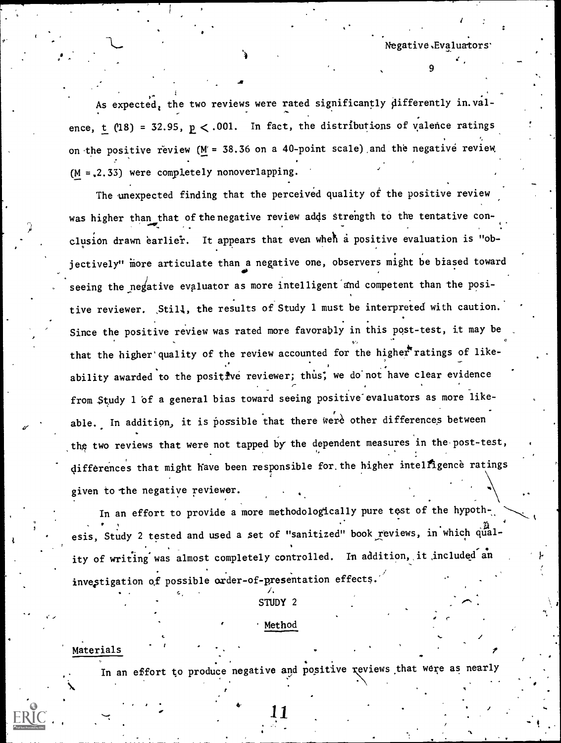Negative,Evaluator

9

e

As expected, the two reviews were rated significantly differently in.valence, t (18) = 32.95,  $p < .001$ . In fact, the distributions of valence ratings on the positive review ( $M = 38.36$  on a 40-point scale) and the negative review.  $(M = 2.33)$  were completely nonoverlapping.

The unexpected finding that the perceived quality of the positive review was higher than that of the negative review adds strength to the tentative conclusion drawn earlier. It appears that even when a positive evaluation is "objectively" more articulate than a negative one, observers might be biased toward seeing the negative evaluator as more intelligent and competent than the positive reviewer. Still, the results of Study 1 must be interpreted with caution. Since the positive review was rated more favorably in this post-test, it may be that the higher' quality of the review accounted for the higher ratings of likeability awarded to the positive reviewer; thus, we do not have clear evidence from Study 1 of a general bias toward seeing positive evaluators as more likeable. In addition, it is possible that there were other differences between the two reviews that were not tapped by the dependent measures in the post-test, differences that might have been responsible for the higher intelfigence ratings given to the negative reviewer.

In an effort to provide a more methodologically pure test of the hypoth- $\sim$ esis, Study 2 tested and used a set of "sanitized" book reviews, in which quality of writing was almost completely controlled. In addition, it included an investigation of possible order-of-presentation effects.

. . , 1. STUDY 2

#### Method

Materials

In an effort to produce negative and positive reviews that were as nearly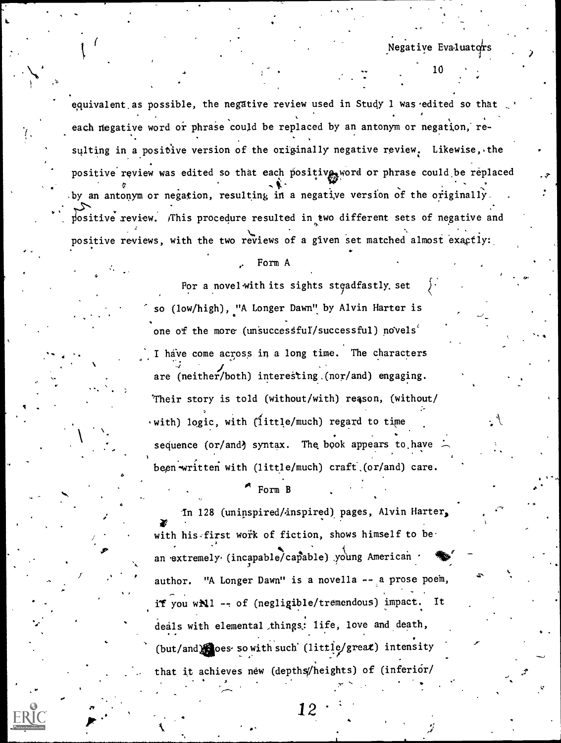Negative Eva-luators

10

, where  $\alpha$  is a set of  $\alpha$  , where  $\alpha$ 

.-

equivalent.as possible, the negative review used in Study 1 was edited so that each negative word or phrase could be replaced by an antonym or negation, re-. sulting in a positive version of the originally negative review. Likewise, the positive review was edited so that each positive, word or phrase could be replaced by an antonym or negation, resulting in a negative version of the originally. positive review. This procedure resulted in two different sets of negative and positive reviews, with the two reviews of a given set matched almost exactly:

#### Form A

 $\bullet$  and the set of  $\bullet$ 

For a novel with its sights stgadfastly. set so (low/high), "A Longer Dawn" by Alvin Harter is one of the more (unsuccessful/successful) novels<sup>'</sup> I have come across in a long time. The characters  $\overline{4}$   $\overline{4}$   $\overline{4}$ are (neither/both) intereSting.(nor/and) engaging. 'Their story is told (without/with) reason, (without/ with) logic, with (little/much) regard to time sequence (or/and) syntax. The book appears to have been written with (little/much) craft (or/and) care.

#### Form B

6

.

In 128 (uninspired/inspired) pages, Alvin Harter,  $\mathcal{L}$ with his first work of fiction, shows himself to be an extremely (incapable/capable) young American /  $\bullet$ author. "A Longer Dawn" is a novella -- a prose poem, if you will -- of (negligible/tremendous) impact. It , . deals with elemental things: life, love and death, . .  $(\text{but/and})$  oes- so with such' (little/great) intensity that it achieves new (depths/heights) of (inferior/ $\overline{y}$ )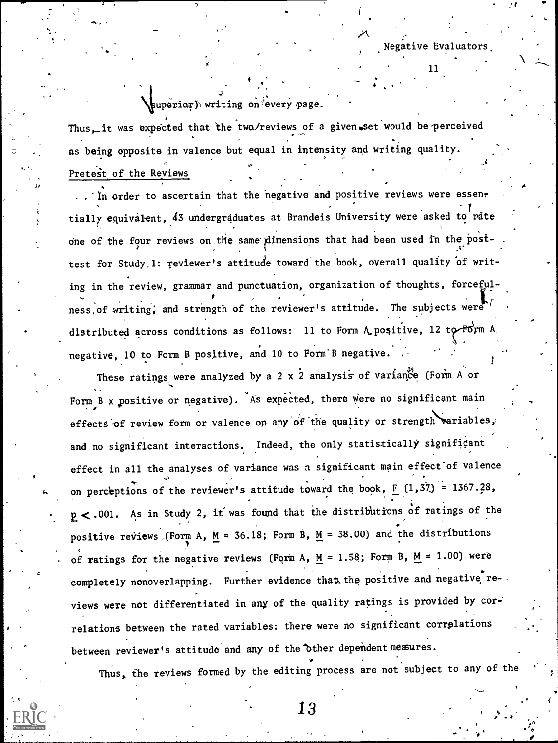/

## superior) writing on every page.

ge.

o

Thus, it was expected that the two/reviews of a given set would be perceived as being opposite in valence but equal in intensity and writing quality. Pretest of the Reviews

\* .

.. In order to ascertain that the negative and positive reviews were essentially equivalent, 43 undergraduates at Brandeis University were asked to rate one of the four reviews on the same dimensions that had been used in the posttest for Study. 1: reviewer's attitude toward the book, overall quality of writing in the review, grammar and punctuation, organization of thoughts, forceful ness of writing, and strength of the reviewer's attitude. The subjects were  $\sqrt{ }$ distributed across conditions as follows: 11 to Form A positive, 12 to  $\overline{P}$ orm A negative, 10 to Form B positive, and 10 to Form B negative.

These ratings were analyzed by a 2 x 2 analysis of variance (Form A or Form B x positive or negative). As expected, there were no significant main effects of review form or valence on any of the quality or strength variables, and no significant interactions. Indeed, the only statistically significant effect in all the analyses of variance was a significant main effect'of valence on perceptions of the reviewer's attitude toward the book, F  $(1,37)$  = 1367.28,  $p < .001$ . As in Study 2, it was found that the distributions of ratings of the positive reviews (Form A,  $M = 36.18$ ; Form B,  $M = 38.00$ ) and the distributions of ratings for the negative reviews (Form A,  $M = 1.58$ ; Form B,  $M = 1.00$ ) were completely nonoverlapping. Further evidence that the positive and negative reviews were not differentiated in any of the quality ratings is provided by correlations between the rated variables: there were no significant corrplations between reviewer's attitude and any of the other dependent measures.

Thus, the reviews formed by the editing process are not subject to any of the  $\left| \cdot \right|$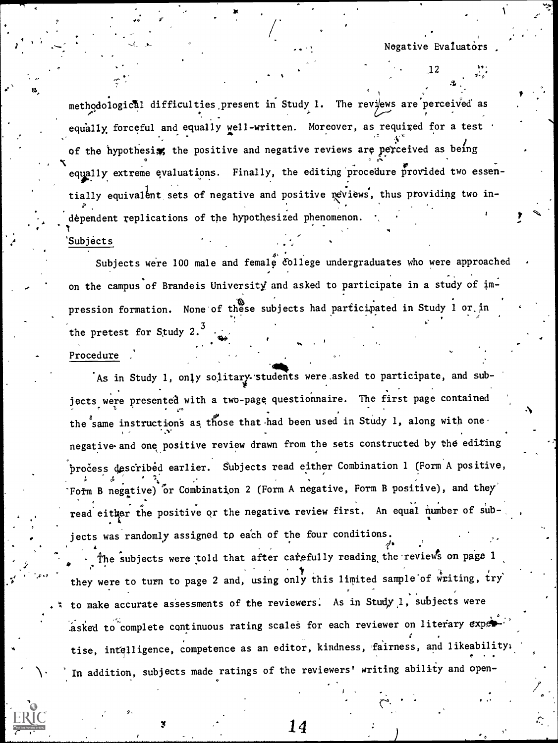. The contract of  $\mathcal{L}$ 

methodological difficulties present in Study 1. The reviews are perceived as well equally forceful and equally well-written. Moreover, as required for a test of the hypothesis, the positive and negative reviews are perceived as being equally extreme evaluations. Finally, the editing procedure provided two essendependent replications of the hypothesized phenomenon.  $\cdot$  the state  $\mathcal{I}$  $\lambda$ , and the set of  $\lambda$ tially equivalent sets of negative and positive reviews, thus providing two in- $\ddot{\phantom{0}}$ 

S

#### 'Subjects

,

 $\bullet$   $\bar{\bullet}$ 

 $\frac{1}{2}$  -  $\frac{1}{2}$  -  $\frac{1}{2}$  -  $\frac{1}{2}$  -  $\frac{1}{2}$  -  $\frac{1}{2}$  -  $\frac{1}{2}$  -  $\frac{1}{2}$  -  $\frac{1}{2}$  -  $\frac{1}{2}$  -  $\frac{1}{2}$  -  $\frac{1}{2}$  -  $\frac{1}{2}$  -  $\frac{1}{2}$  -  $\frac{1}{2}$  -  $\frac{1}{2}$  -  $\frac{1}{2}$  -  $\frac{1}{2}$  -  $\frac{1$ 

11.1IMMOI

 $4.$   $\rightarrow$ Subjects were 100 male and female  $\circ$ lege undergraduates who were approached  $\cdot$ on the campus of Brandeis University and asked to participate in a study of impression formation. None of these subjects had participated in Study 1 or in . the pretest for Study 2. $^3$ 

"

#### Procedure

P.

As in Study 1, only solitary students were asked to participate, and subjects were presented with a two-page questionnaire. The first page contained the same instructions as, those that had been used in Study 1, along with one negative-and one positive review drawn from the sets constructed by the editing process described earlier. Subjects read either Combination 1 (Form A positive, Fotm B negative) % or Combination 2 (Form A negative, Form B positive), and they <sup>e</sup> . read either the positive or the negative review first. An equal number of sub- . jects was randomly assigned to each of the four conditions

The subjects were told that after carefully reading the reviews on page 1 they were to turn to page 2 and, using only this limited sample of writing, try to make accurate assessments of the reviewers. As in Study 1, subjects were asked to complete continuous rating scales for each reviewer on literary exper tise, intelligence, competence as an editor, kindness, fairness, and likeabilityle and the state of the competence as an editor, kindness, fairness, and likeabilityle and the competence as an editor, kindness, fairness, an In addition, subjects made ratings of the reviewers' writing ability and open-

 $\mathbf{14}$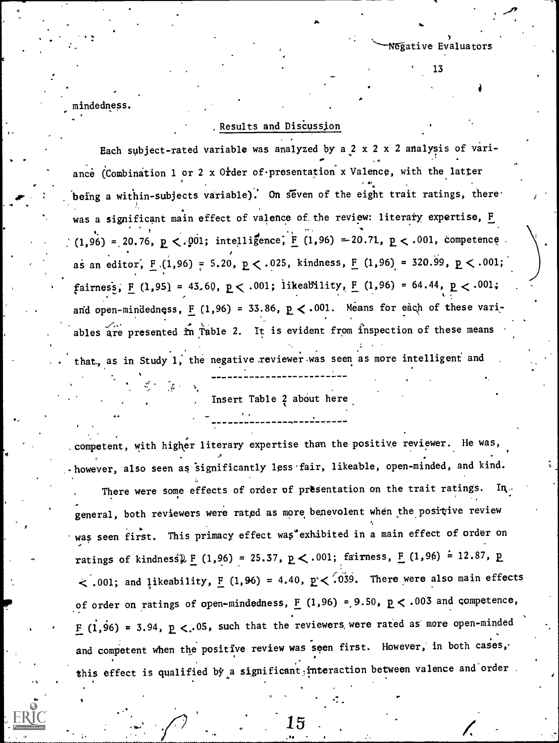mindedness.

 $\bullet$  , and the contract of  $\bullet$ 

.. .

 $\ddot{\phantom{a}}$ 

# ,Results and Discussion

Negative Evaluators

13

Each subject-rated variable was analyzed by a  $2 \times 2 \times 2$  analysis of variance (Combination 1 or 2 x Order of presentation x Valence, with the latter being a within-subjects variable). On seven of the eight trait ratings, there  $\cdots$ was a significant main effect of valence of the review: literary expertise, F  $(1,96) = 20.76$ , p <. 001; intelligence, F (1,96) = 20.71, p < .001, competence as an editor,  $F(1,96) = 5.20$ ,  $p < .025$ , kindness,  $F(1,96) = 320.99$ ,  $p < .001$ ;  $fairnes$ <sub>5</sub>, <u>F</u> (1,95) = 43.60,  $p < .001$ ; likeability, F (1,96) = 64.44,  $p < .001$ ; and open-mindedness,  $F (1,96) = 33.86$ ,  $p < .001$ . Means for each of these variables are presented  $\hat{r}n$  Table 2. It is evident from inspection of these means

that, as in Study 1, the negative reviewer was seen as more intelligent and

Insert Table 2 about here

of order on ratings of open-mindedness,  $F (1,96) = 9.50$ ,  $p < .003$  and competence, .competent, with higher literary expertise than the positive reviewer. He was, -however, also seen as 'significantly less-fair, likeable, open-minded, and kind. There were some effects of order of presentation on the trait ratings. In. general, both reviewers were rated as more benevolent when the positive review was seen first. This primacy effect was exhibited in a main effect of order on ratings of kindness)  $E (1,96) = 25.37$ ,  $E < .001$ ; fairness,  $E (1,96) = 12.87$ , p.  $<$  .001; and likeability,  $F (1,96) = 4.40$ ,  $p < 039$ . There were also main effects F (1,96) = 3.94,  $p < .05$ , such that the reviewers were rated as more open-minded  $\cdot$ and competent when the positive review was seen first. However, in both cases, this effect is qualified by a significant; interaction between valence and order.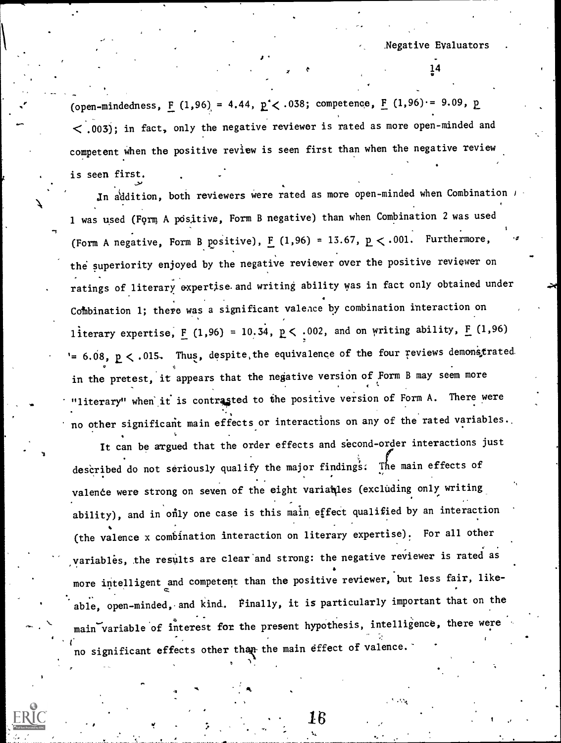(open-mindedness,  $\underline{F}$  (1,96) = 4.44,  $\underline{p}$  < .038; competence,  $\underline{F}$  (1,96) = 9.09,  $\underline{p}$  $\langle$  .003); in fact, only the negative reviewer is rated as more open-minded and competent when the positive review is seen first than when the negative review is seen first.

 $\mathbf{I}$  is a set of  $\mathbf{I}$ 

In addition, both reviewers were rated as more open-minded when Combination  $\prime$ 1 was used (Form A pdsltive, Form B negative) than when Combination 2 was used (Form A negative, Form B positive),  $F(1,96) = 13.67$ ,  $p < .001$ . Furthermore, the superiority enjoyed by the negative reviewer over the positive reviewer on ratings of literary expertjse and writing ability was in fact only obtained under Combination 1; there was a significant valence by combination interaction on literary expertise,  $\underline{F}$  (1,96) = 10.34,  $\underline{p}$  < .002, and on writing ability,  $\underline{F}$  (1,96) '=  $6.08$ ,  $p < .015$ . Thus, despite, the equivalence of the four reviews demonstrated in the pretest, it appears that the negative version of Form B may seem more "literary" when it is contrasted to the positive version of Form A. There were no other significant main effects or interactions on any of the rated variables..

It can be argued that the order effects and second-order interactions just described do not seriously qualify the major findings: The main effects of valence were strong on seven of the eight variables (excluding only writing ability), and in only one case is this main effect qualified by an interaction (the valence x combination interaction on literary expertise). For all other variables, the results are clear and strong: the negative reviewer is rated as e more intelligent and competent than the positive reviewer, but less fair, likeable, open-minded, and kind. Finally, it is particularly important that on the main variable of interest for the present hypothesis, intelligence, there were no significant effects other than the main effect of valence.



16

 $\mathcal{F}$  and  $\mathcal{F}$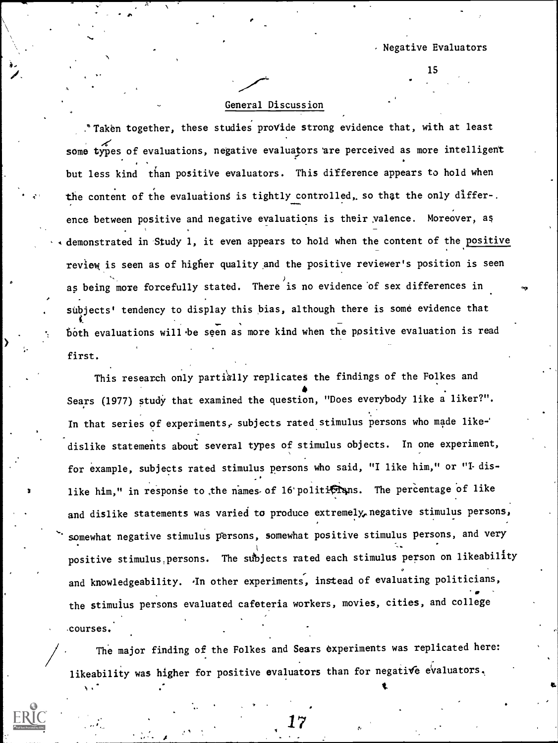# General Discussion

."Taken together, these studies proVide strong evidence that, with at least some types of evaluations, negative evaluators are perceived as more intelligent but less kind than positive evaluators. This difference appears to hold when the content of the evaluations is tightly controlled, so that the only differ-. ence between positive and negative evaluations is their valence. Moreover, as demonstrated in Study 1, it even appears to hold when the content of the positive review is seen as of higher quality and the positive reviewer's position is seen as being more forcefully stated. There is no evidence of sex differences in subjects' tendency to display this bias, although there is some evidence that both evaluations will be seen as more kind when the positive evaluation is read first.

This research only partially replicates the findings of the Folkes and  $\bullet$  and  $\bullet$ Sears (1977) study that examined the question, "Does everybody like a liker?". In that series of experiments, subjects rated stimulus persons who made likedislike statements about several types of stimulus objects. In one experiment, for example, subjects rated stimulus persons who said, "I like him," or "I- dis- . like him," in response to the names of 16 politificans. The percentage of like and dislike statements was varied to produce extremely, negative stimulus persons, somewhat negative stimulus persons, somewhat positive stimulus persons, and very positive stimulus.persons. The subjects rated each stimulus person on likeability and knowledgeability. In other experiments, instead of evaluating politicians, the stimulus persons evaluated cafeteria workers, movies, cities, and college courses.

The major finding of the Folkes and Sears experiments was replicated here: likeability was higher for positive evaluators than for negative evaluators,

t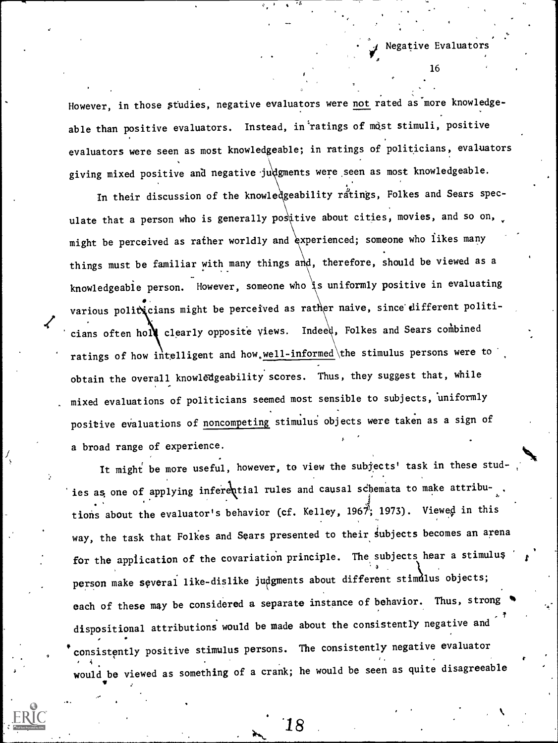However, in those studies, negative evaluators were not rated as more knowledgeable than positive evaluators. Instead, in ratings of most stimuli, positive evaluators were seen as most knowledgeable; in ratings of politicians, evaluators giving mixed positive and negative judgments were seen as most knowledgeable.

In their discussion of the knowledgeability ratings, Folkes and Sears speculate that a person who is generally postive about cities, movies, and so on, might be perceived as rather worldly and experienced; someone who likes many things must be familiar with many things and, therefore, should be viewed as a knowledgeable person. However, someone who is uniformly positive in evaluating various politicians might be perceived as rather naive, since different politicians often holl clearly opposite views. Indeed, Folkes and Sears combined ratings of how intelligent and how, well-informed the stimulus persons were to obtain the overall knowledgeability scores. Thus, they suggest that, while mixed evaluations of politicians seemed most sensible to subjects, uniformly positive evaluations of noncompeting stimulus objects were taken as a sign of a broad range of experience.

It might be more useful, however, to view the subjects' task in these studies as one of applying inferential rules and causal schemata to make attribu-. tions about the evaluator's behavior (cf. Kelley, 1967; 1973). Viewed in this way, the task that Folkes and Sears presented to their subjects becomes an arena for the application of the covariation principle. The subjects hear a stimulus person make several like-dislike judgments about different stimulus objects; each of these may be considered a separate instance of behavior. Thus, strong , dispositional attributions would be made about the consistently negative and consistently positive stimulus persons. The consistently negative evaluator  $\frac{4}{10}$  would be viewed as something of a crank; he would be seen as quite disagreeable

18

16

Negative Evaluators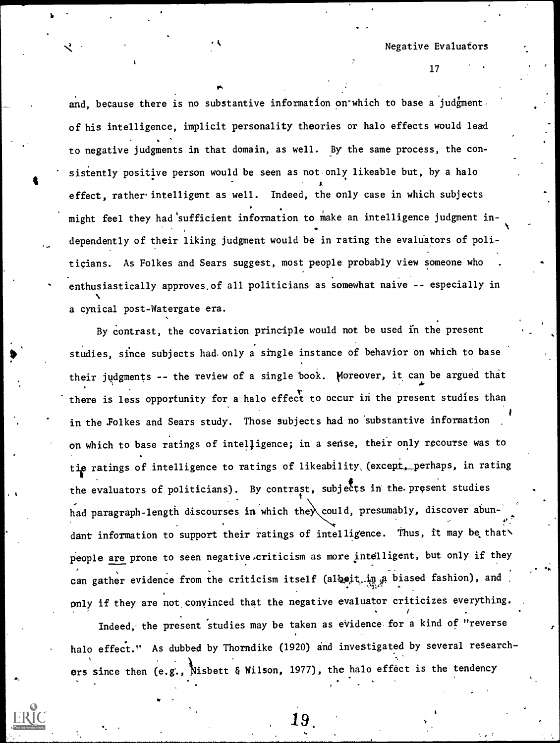Negative Evaluators

17

and, because there is no substantive information on which to base a judgmentof his intelligence, implicit personality theories or halo effects would lead to negative judgments in that domain, as well. By the same process, the consistently positive person would be seen as not only likeable but, by a halo effect, rather intelligent as well. Indeed, the only case in which subjects might feel they had sufficient information to make an intelligence judgment in- $\bullet$  . The set of  $\bullet$ dependently of their liking judgment would be in rating the evaluators of politicians. As Folkes and Sears suggest, most people probably view someone who . enthusiastically approves,of all politicians as somewhat naive -- especially in a cynical post-Watergate era.

By Contrast, the covariation principle would not be used in the present studies, since subjects had. only a single instance of behavior on which to base their judgments -- the review of a single book. Moreover, it can be argued that there is less opportunity for a halo effect to occur in the present studies than in the Folkes and Sears study. Those subjects had no substantive information on which to base ratings of intelligence; in a sense, their only recourse was to tie ratings of intelligence to ratings of likeability, (except, perhaps, in rating the evaluators of politicians). By contrast, subjects in the present studies had paragraph-length discourses in which the could, presumably, discover abun-. dant information to support their ratings of intelligence. Thus, it may be that people are prone to seen negative criticism as more intelligent, but only if they can gather evidence from the criticism itself (albeit.in a biased fashion), and only if they are not convinced that the negative evaluator criticizes everything.

Indeed, the present studies may be taken as evidence for a kind of "reverse halo effect." As dubbed by Thorndike (1920) and investigated by several researchers since then (e.g., Nisbett & Wilson, 1977), the halo effect is the tendency

19.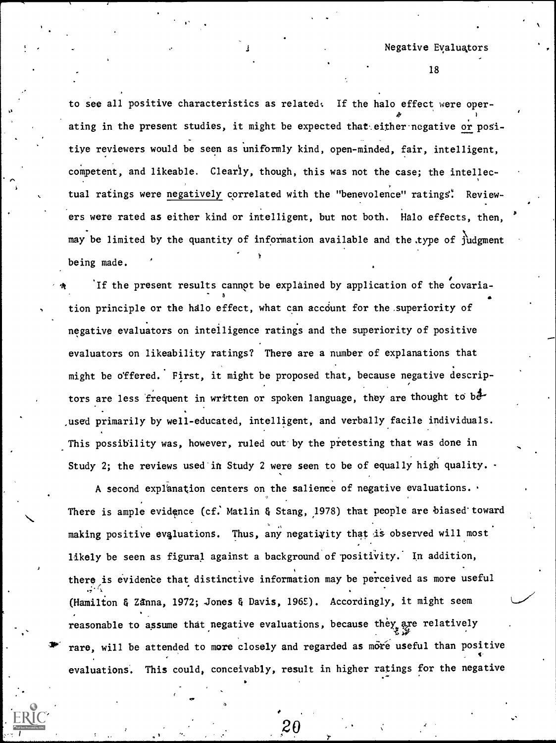Negative Evaluators

18

to see all positive characteristics as related: If the halo effect were operating in the present studies, it might be expected that either negative or positive reviewers would be seen as uniformly kind, open-minded, fair, intelligent, competent, and likeable. Clearly, though, this was not the case; the intellectual ratings were negatively correlated with the "benevolence" ratings". Reviewers were rated as either kind or intelligent, but not both. Halo effects, then, may be limited by the quantity of information available and the .type of judgment being made.

If the present results cannot be explained by application of the covaria-. tion principle or the halo effect, what can account for the superiority of negative evaluators on intelligence ratings and the superiority of positive evaluators on likeability ratings? There are a number of explanations that might be offered. First, it might be proposed that, because negative descrip-  $\epsilon$  , and the set of  $\epsilon$ tors are less frequent in written or spoken language, they are thought to beused primarily by well-educated, intelligent, and verbally facile individuals. This possibility was, however, ruled out by the pretesting that was done in Study 2; the reviews used in Study 2 were seen to be of equally high quality.  $\cdot$ 

A second explanation centers on the salience of negative evaluations. There is ample evidence (cf. Matlin & Stang, 1978) that people are biased toward making positive evaluations. Thus, any negativity that is observed will most likely be seen as figural against a background of positivity. In addition, there is evidence that distinctive information may be perceived as more useful (Hamilton & ZAnna, 1972; Jones & Davis, 196E). Accordingly, it might seem reasonable to assume that negative evaluations, because they are relatively rare, will be attended to more closely and regarded as more useful than positive evaluations. This could, conceivably, result in higher ratings for the negative

 $2\theta$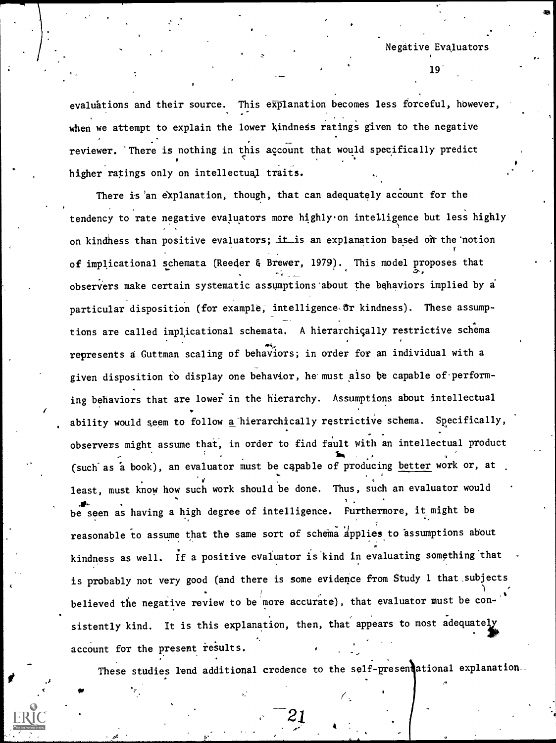19'

evaluations and their source. This explanation becomes less forceful, however, when we attempt to explain the lower kindness ratings given to the negative reviewer. 'There is nothing in this account that would specifically predict higher ratings only on intellectual traits.

r-

There is 'an explanation, though, that can adequately account for the tendency to rate negative evaluators more highly on intelligence but less highly on kindness than positive evaluators; it is an explanation based on the notion of implicational schemata (Reeder & Brewer, 1979). This model proposes that observers make certain systematic assumptions about the behaviors implied by a particular disposition (for example, intelligence or kindness). These assumptions are called implicational schemata. A hierarchically restrictive schema represents a Guttman scaling of behaviors; in order for an individual with a given disposition to display one behavior, he must also be capable of performing behaviors that are lower in the hierarchy. Assumptions about intellectual ability would seem to follow a hierarchically restrictive schema. Specifically, observers might assume that, in order to find fault with an intellectual product *Ifty and the set* (such as a book), an evaluator must be capable of producing better work or, at least, must know how such work should be done. Thus, such an evaluator would<br>be seen as having a high degree of intelligence. Furthermore, it might be reasonable to assume that the same sort of schema applies to assumptions about kindness as well. If a positive evaluator is kind-in evaluating something that is probably not very good (and there is some evidence from Study 1 that subjects believed the negative review to be more accurate), that evaluator must be con- .<br>sistently kind. It is this explanation, then, that appears to most adequately account for the present results.

These studies lend additional credence to the self-presentational explanation.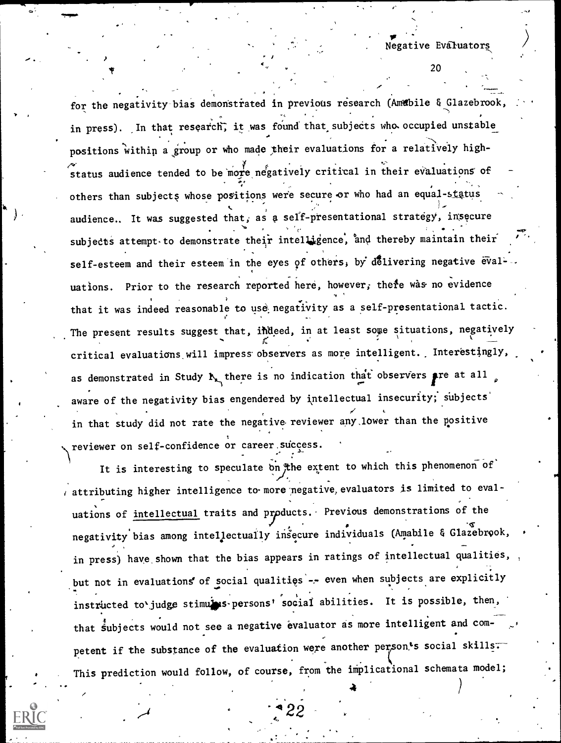$\bullet$ 

for the negativity bias demonstrated in previous research (Amabile & Glazebrook, in press). In that research, it was found that subjects who occupied unstable positions within a group or who made their evaluations for a relatively highstatus audience tended to be more negatively critical in their evaluations of daa kale daa kale daa kale daa kale daaraa kale daaraa kale daaraa kale daaraa kale daaraa kale daaraa kale da<br>Google others than subjects whose positions were secure or who had an equal-status audience.. It was suggested that, as a self-presentational strategy, insecure . . subjects attempt to demonstrate their intelligence, and thereby maintain their self-esteem and their esteem in the eyes of others, by delivering negative eval-uations. Prior to the research reported here, however, there was no evidence that it was indeed reasonable to use negativity as a self-presentational tactic. The present results suggest that, indeed, in at least some situations, negatively critical evaluations will impress observers as more intelligent. Interestingly, as demonstrated in Study  $\mathbf{h}_{\mathbf{x}}$  there is no indication that observers pre at all aware of the negativity bias engendered by intellectual insecurity; subjects' in that study did not rate the negative reviewer any,lower than the positive reviewer on self-confidence or career. success.

/  $\epsilon$ ,  $\epsilon$ 

It is interesting to speculate on the extent to which this phenomenon of / attributing higher intelligence to more'pegative,evaluators is limited to evaluations of intellectual traits and products. Previous demonstrations of the negativity bias among intellectually insecure individuals (Amabile & Glazebrook, · in press) have, shown that the bias appears in ratings of intellectual qualities, but not in evaluations' of social qualities -- even when subjects are explicitly instructed to'judge stimules-persons' social abilities. It is possible, then, that subjects would not see a negative evaluator as more intelligent and competent if the substance of the evaluation were another person's social skills. This prediction would follow, of course, from the implicational schemata model;

4 22

att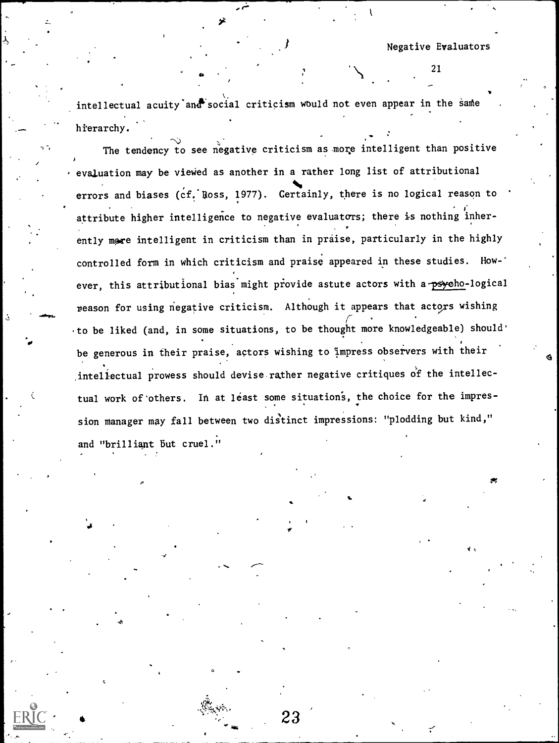intellectual acuity and social criticism would not even appear in the same hierarchy.

The tendency to see negative criticism as more intelligent than positive . evaluation may be viewed as another in a rather long list of attributional errors and biases (cf. Ross, 1977). Gertainly, there is no logical reason to attribute higher intelligence to negative evaluators; there is nothing inherently more intelligent in criticism than in praise, particularly in the highly controlled form in which criticism and praise appeared in these studies. How-' ever, this attributional bias might provide astute actors with a psycho-logical reason for using negative criticism. Although it appears that actors wishing to be liked (and, in some situations, to be thought more knowledgeable) should' be generous in their praise, actors wishing to Impress observers with their inteliectual prowess should devise rather negative critiques of the intellectual work of others. In at least some situations, the choice for the impression manager may fall between two distinct impressions: "plodding but kind," and "brilliant But cruel."

23

-10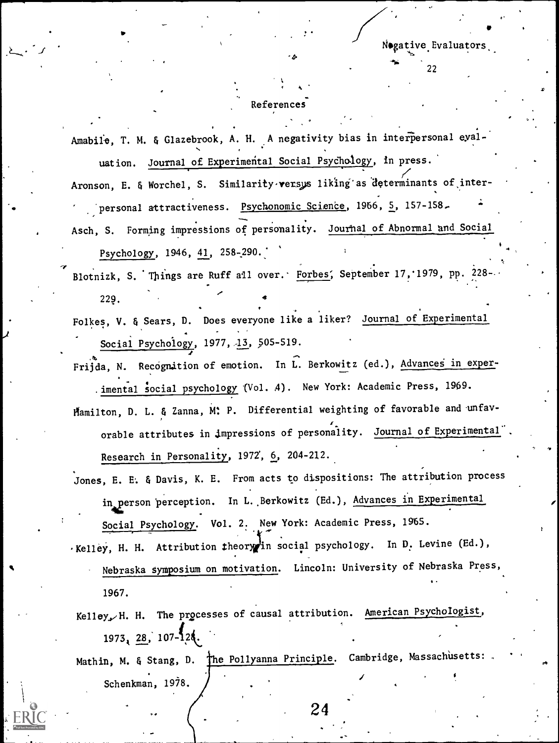#### References

 $, \cdot$  .

k

Amabile, T. M. & Glazebrook, A. H. A negativity bias in interpersonal eyaluation. Journal of Experimental Social Psychology, in press. Aronson, E. & Worchel, S. Similarity versys liking as determinants of interpersonal attractiveness. Psychonomic Science, 1966, 5, 157-158.

Asch, S. Forming impressions of personality. Journal of Abnormal and Social Psychology, 1946, 41, 258-290.

Blotnizk, S. Things are Ruff all over. Forbes, September 17, 1979, pp. 228- $229.$ 

Folkes, V. & Sears, D. Does everyone like a liker? Journal of Experimental Social Psychology, 1977, 13, 505-519.

Frijda, N. Recognition of emotion. In L. Berkowitz (ed.), Advances in exper-. imental social psychology (Vol. 4). New York: Academic Press, 1969.

- Hamilton, D. L. & Zanna, M: P. Differential weighting of favorable and unfavorable attributes in impressions of personality. Journal of Experimental Research in Personality, 1972, 6, 204-212.
- Jones, E. E.. & Davis, K. E. From acts to dispositions: The attribution process in person perception. In L. Berkowitz (Ed.), Advances in Experimental Social Psychology. Vol. 2. New York: Academic Press, 1965.

. Kelley, H. H. Attribution theory in social psychology. In D. Levine (Ed.),

Nebraska Symposium on motivation. Lincoln: University of Nebraska Press, 1967.

Kelley, H. H. The processes of causal attribution. American Psychologist,  $1973_{1}$   $28$ ,  $107 - 128$ . Mathin, M. & Stang, D. The Pollyanna Principle. Cambridge, Massachusetts:

Schenkman, 1978.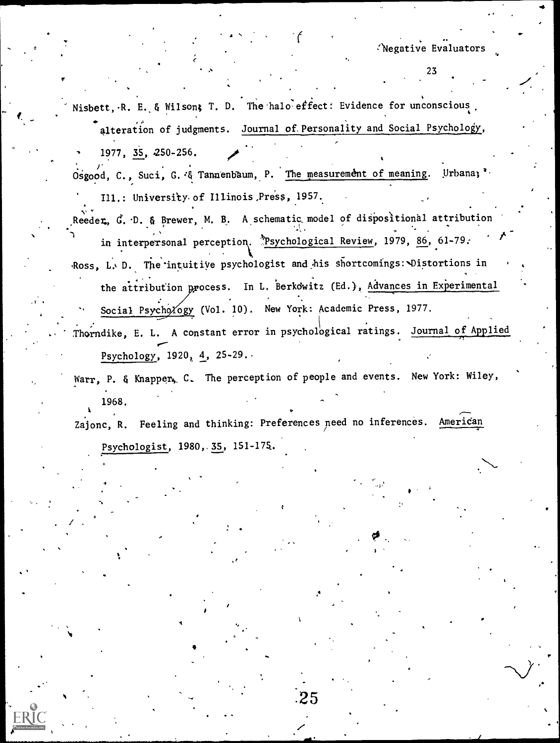Nisbett, R. E. & Wilson; T. D. The halo effect: Evidence for unconscious. alteration of judgments. Journal of. Personality and Social Psychology, 1977, 35, 250-256.

f.

 $\mathbf{r}$  and  $\mathbf{r}$ 

.

Ne,

 $\mathcal{L}$ .  $\mathcal{L}$  representation of  $\mathcal{L}$ . Osgood, C., Suci, G. & Tannenbaum, P. The measurement of meaning. Urbanal'. Ill.: Universfty of Illinois,Press, 1957.

Reeder, G. D. & Brewer, M. B. A schematic model of dispositional attribution . . . -, , . - in interpersonal perception. Psychological Review, 1979, 86, 61-79. Ross, L. D. The intuitive psychologist and his shortcomings: Distortions in  $\boldsymbol{\Lambda}^{\text{max}}$ 

.

the attribution process. In L. Berkowitz (Ed.), Advances in Experimental Social Psychology (Vol. 10). New York: Academic Press, 1977.

Thorndike, E. L. A constant error in psychological ratings. Journal of Applied Psychology,  $1920, 4, 25-29.$ .

Warr, P. & Knapper, C. The perception of people and events. New York: Wiley, 1968.

Zajonc, R. Feeling and thinking: Preferences need no inferences. American Psychologist, 1980,.35, 151-174.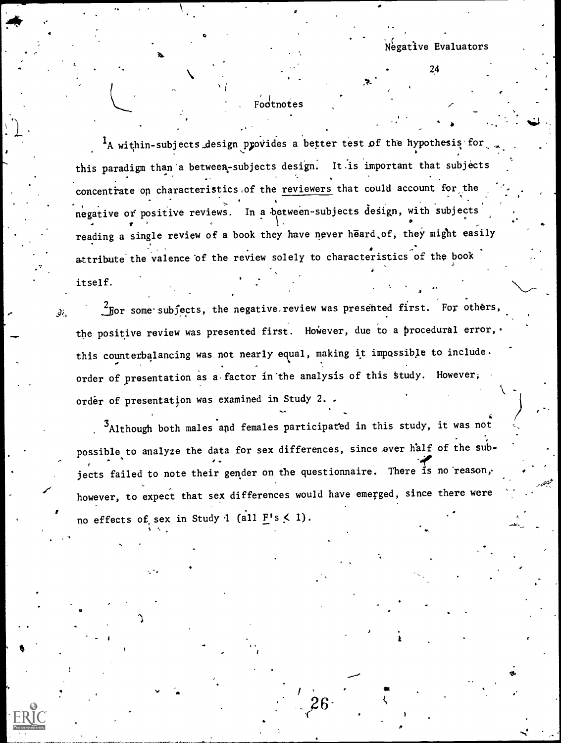sy.

-

# Fodtnotes

 $41.41$ 

 $1_A$  within-subjects design provides a better test of the hypothesis for  $\sim$ this paradigm than'a between-subjects design. It.is important that subjects  $\bullet$  . The set of  $\bullet$ concentrate on characteristics of the reviewers that could account for the the set of the set of the set of the negative of positive reviews. In a between-subjects design, with subjects . For a set of the set of the set of the set of the set of the set of the set of the set of the set of the set of the set of the set of the set of the set of the set of the set of the set of the set of the set of the set  $\bullet$ , , , , , reading a single review of a book they have never heard,of, they might easily attribute'the valence 'of the review solely to characteristics of the book itself.

 $\frac{2}{3}$ For some subjects, the negative review was presented first. For others, the positive review was presented first. However, due to a procedural error, this counterbalancing was not nearly equal, making it impossible to include. order of presentation as a factor in the analysis of this study. However, order of presentation was examined in Study 2.

<sup>3</sup>Although both males apd females participated in this study, it was not possible to analyze the data for sex differences, since over half of the sub- $\sim$ jects failed to note their gender on the questionnaire. There is no reason, however, to expect that sex differences would have emerged, since there were no effects of sex in Study 1 (all  $F's < 1$ ).

26

,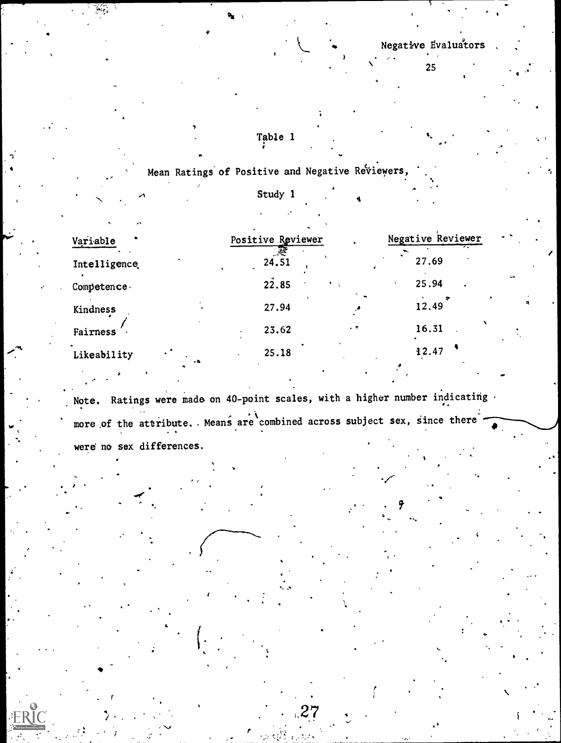$\bullet$   $\bullet$   $\bullet$ 

25

Table 1

Mean Ratings of Positive and Negative Reviewers,

4

a

Study 1

| Variable                  |           | Positive Reviewer |           | Negative Reviewer | $\sim$ $^{-1}$ |
|---------------------------|-----------|-------------------|-----------|-------------------|----------------|
| Intelligence <sub>.</sub> |           | 24.51             |           | 27.69             |                |
| Competence.               |           | 22.85             |           | 25.94             | <b>Gra</b>     |
| Kindness                  |           | 27.94             |           | 12.49             |                |
| Fairness                  |           | 23.62             | $\cdot$ . | 16.31             |                |
| Likeability               | $\bullet$ | 25.18             |           | 12.47             |                |

Note. Ratings were made on 40-point scales, with a higher number indicating  $\cdot$ more of the attribute. Means are combined across subject sex, since there were no sex differences.

 $27 \frac{1}{2}$ 

 $\bullet$  . The set of  $\bullet$